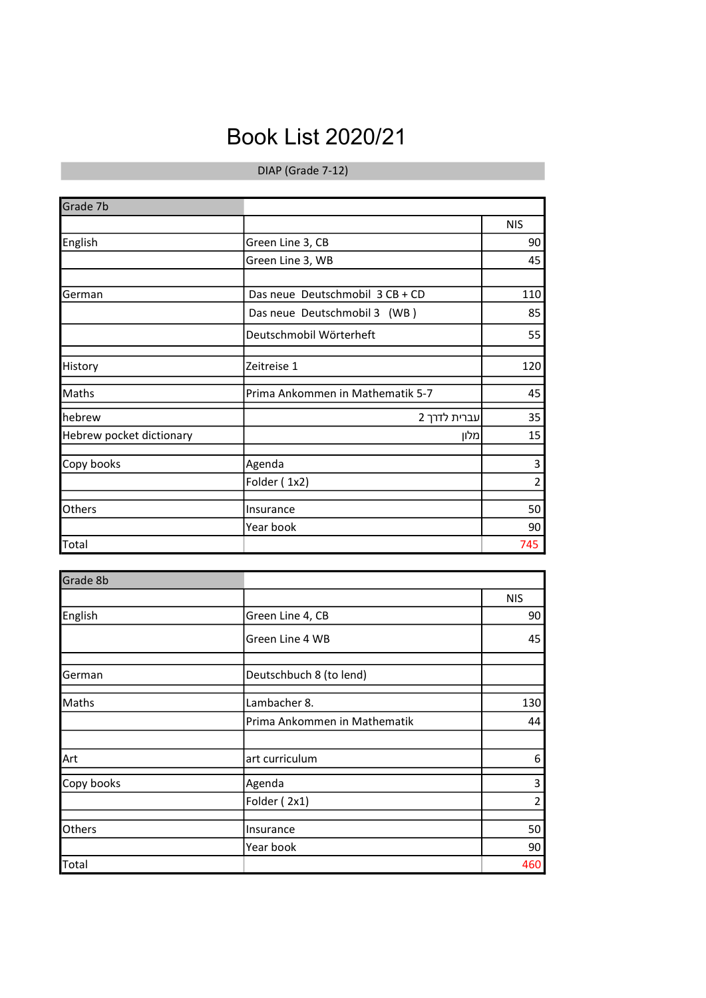## Book List 2020/21

## DIAP (Grade 7-12)

| Grade 7b                 |                                  |                |
|--------------------------|----------------------------------|----------------|
|                          |                                  | <b>NIS</b>     |
| English                  | Green Line 3, CB                 | 90             |
|                          | Green Line 3, WB                 | 45             |
|                          |                                  |                |
| German                   | Das neue Deutschmobil 3 CB + CD  | 110            |
|                          | Das neue Deutschmobil 3 (WB)     | 85             |
|                          | Deutschmobil Wörterheft          | 55             |
| History                  | Zeitreise 1                      | 120            |
| Maths                    | Prima Ankommen in Mathematik 5-7 | 45             |
| hebrew                   | עברית לדרך 2                     | 35             |
| Hebrew pocket dictionary | ומלון                            | 15             |
| Copy books               | Agenda                           | 3              |
|                          | Folder (1x2)                     | $\overline{2}$ |
| Others                   | Insurance                        | 50             |
|                          | Year book                        | 90             |
| Total                    |                                  | 745            |

| Grade 8b   |                              |            |
|------------|------------------------------|------------|
|            |                              | <b>NIS</b> |
| English    | Green Line 4, CB             | 90         |
|            | Green Line 4 WB              | 45         |
| German     | Deutschbuch 8 (to lend)      |            |
| Maths      | Lambacher 8.                 | 130        |
|            | Prima Ankommen in Mathematik | 44         |
| Art        | art curriculum               | 6          |
| Copy books | Agenda                       | 3          |
|            | Folder (2x1)                 | 2          |
| Others     | Insurance                    | 50         |
|            | Year book                    | 90         |
| Total      |                              | 460        |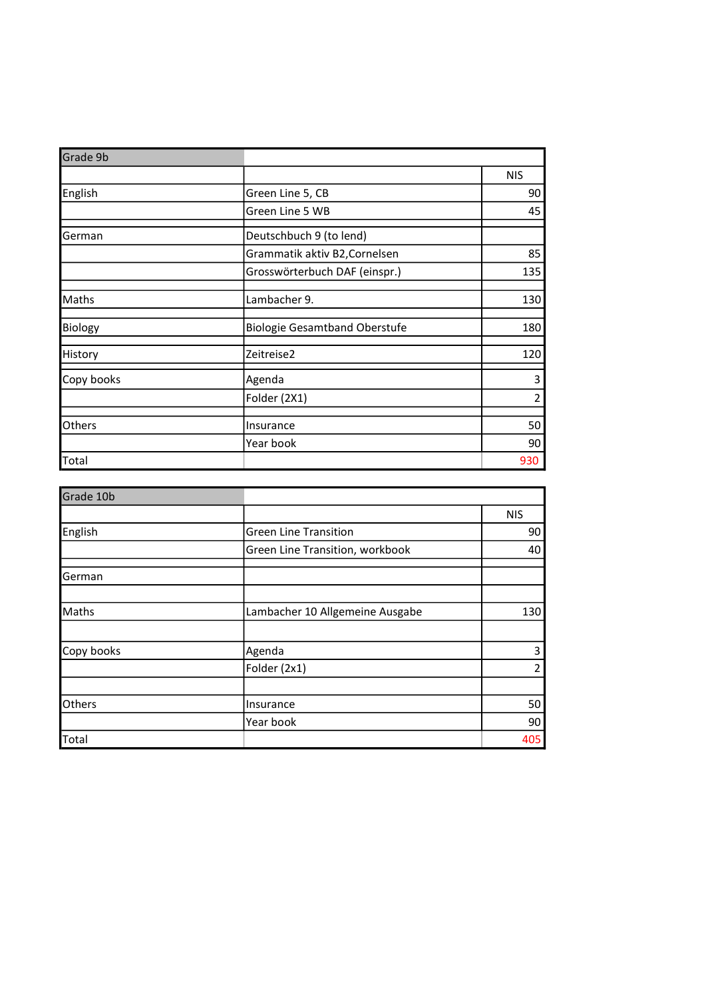| Grade 9b   |                                      |            |
|------------|--------------------------------------|------------|
|            |                                      | <b>NIS</b> |
| English    | Green Line 5, CB                     | 90         |
|            | Green Line 5 WB                      | 45         |
| German     | Deutschbuch 9 (to lend)              |            |
|            | Grammatik aktiv B2, Cornelsen        | 85         |
|            | Grosswörterbuch DAF (einspr.)        | 135        |
| Maths      | Lambacher 9.                         | 130        |
| Biology    | <b>Biologie Gesamtband Oberstufe</b> | 180        |
| History    | Zeitreise2                           | 120        |
| Copy books | Agenda                               | 3          |
|            | Folder (2X1)                         | 2          |
| Others     | Insurance                            | 50         |
|            | Year book                            | 90         |
| Total      |                                      | 930        |

| Grade 10b  |                                 |            |
|------------|---------------------------------|------------|
|            |                                 | <b>NIS</b> |
| English    | <b>Green Line Transition</b>    | 90         |
|            | Green Line Transition, workbook | 40         |
| German     |                                 |            |
|            |                                 |            |
| Maths      | Lambacher 10 Allgemeine Ausgabe | 130        |
|            |                                 |            |
| Copy books | Agenda                          | 3          |
|            | Folder (2x1)                    | 2          |
|            |                                 |            |
| Others     | Insurance                       | 50         |
|            | Year book                       | 90         |
| Total      |                                 | 405        |